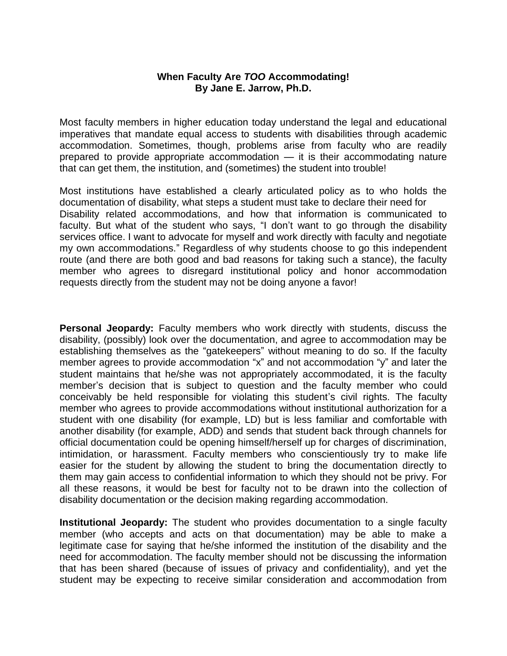## **When Faculty Are** *TOO* **Accommodating! By Jane E. Jarrow, Ph.D.**

Most faculty members in higher education today understand the legal and educational imperatives that mandate equal access to students with disabilities through academic accommodation. Sometimes, though, problems arise from faculty who are readily prepared to provide appropriate accommodation — it is their accommodating nature that can get them, the institution, and (sometimes) the student into trouble!

Most institutions have established a clearly articulated policy as to who holds the documentation of disability, what steps a student must take to declare their need for Disability related accommodations, and how that information is communicated to faculty. But what of the student who says, "I don't want to go through the disability services office. I want to advocate for myself and work directly with faculty and negotiate my own accommodations." Regardless of why students choose to go this independent route (and there are both good and bad reasons for taking such a stance), the faculty member who agrees to disregard institutional policy and honor accommodation requests directly from the student may not be doing anyone a favor!

**Personal Jeopardy:** Faculty members who work directly with students, discuss the disability, (possibly) look over the documentation, and agree to accommodation may be establishing themselves as the "gatekeepers" without meaning to do so. If the faculty member agrees to provide accommodation "x" and not accommodation "y" and later the student maintains that he/she was not appropriately accommodated, it is the faculty member's decision that is subject to question and the faculty member who could conceivably be held responsible for violating this student's civil rights. The faculty member who agrees to provide accommodations without institutional authorization for a student with one disability (for example, LD) but is less familiar and comfortable with another disability (for example, ADD) and sends that student back through channels for official documentation could be opening himself/herself up for charges of discrimination, intimidation, or harassment. Faculty members who conscientiously try to make life easier for the student by allowing the student to bring the documentation directly to them may gain access to confidential information to which they should not be privy. For all these reasons, it would be best for faculty not to be drawn into the collection of disability documentation or the decision making regarding accommodation.

**Institutional Jeopardy:** The student who provides documentation to a single faculty member (who accepts and acts on that documentation) may be able to make a legitimate case for saying that he/she informed the institution of the disability and the need for accommodation. The faculty member should not be discussing the information that has been shared (because of issues of privacy and confidentiality), and yet the student may be expecting to receive similar consideration and accommodation from